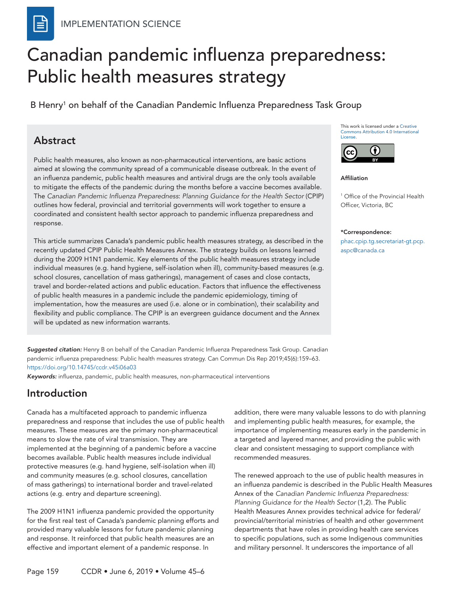# Canadian pandemic influenza preparedness: Public health measures strategy

B Henry<sup>1</sup> on behalf of the Canadian Pandemic Influenza Preparedness Task Group

## Abstract

Public health measures, also known as non-pharmaceutical interventions, are basic actions aimed at slowing the community spread of a communicable disease outbreak. In the event of an influenza pandemic, public health measures and antiviral drugs are the only tools available to mitigate the effects of the pandemic during the months before a vaccine becomes available. The *Canadian Pandemic Influenza Preparedness*: *Planning Guidance for the Health Sector* (CPIP) outlines how federal, provincial and territorial governments will work together to ensure a coordinated and consistent health sector approach to pandemic influenza preparedness and response.

This article summarizes Canada's pandemic public health measures strategy, as described in the recently updated CPIP Public Health Measures Annex. The strategy builds on lessons learned during the 2009 H1N1 pandemic. Key elements of the public health measures strategy include individual measures (e.g. hand hygiene, self-isolation when ill), community-based measures (e.g. school closures, cancellation of mass gatherings), management of cases and close contacts, travel and border-related actions and public education. Factors that influence the effectiveness of public health measures in a pandemic include the pandemic epidemiology, timing of implementation, how the measures are used (i.e. alone or in combination), their scalability and flexibility and public compliance. The CPIP is an evergreen guidance document and the Annex will be updated as new information warrants.

*Suggested citation:* Henry B on behalf of the Canadian Pandemic Influenza Preparedness Task Group. Canadian pandemic influenza preparedness: Public health measures strategy. Can Commun Dis Rep 2019;45(6):159–63. <https://doi.org/10.14745/ccdr.v45i06a03>

*Keywords:* influenza, pandemic, public health measures, non-pharmaceutical interventions

## Introduction

Canada has a multifaceted approach to pandemic influenza preparedness and response that includes the use of public health measures. These measures are the primary non-pharmaceutical means to slow the rate of viral transmission. They are implemented at the beginning of a pandemic before a vaccine becomes available. Public health measures include individual protective measures (e.g. hand hygiene, self-isolation when ill) and community measures (e.g. school closures, cancellation of mass gatherings) to international border and travel-related actions (e.g. entry and departure screening).

The 2009 H1N1 influenza pandemic provided the opportunity for the first real test of Canada's pandemic planning efforts and provided many valuable lessons for future pandemic planning and response. It reinforced that public health measures are an effective and important element of a pandemic response. In

addition, there were many valuable lessons to do with planning and implementing public health measures, for example, the importance of implementing measures early in the pandemic in a targeted and layered manner, and providing the public with clear and consistent messaging to support compliance with recommended measures.

The renewed approach to the use of public health measures in an influenza pandemic is described in the Public Health Measures Annex of the *Canadian Pandemic Influenza Preparedness: Planning Guidance for the Health Sector* (1,2). The Public Health Measures Annex provides technical advice for federal/ provincial/territorial ministries of health and other government departments that have roles in providing health care services to specific populations, such as some Indigenous communities and military personnel. It underscores the importance of all

This work is licensed under a [Creative](https://creativecommons.org/licenses/by/4.0/)  [Commons Attribution 4.0 International](https://creativecommons.org/licenses/by/4.0/)  **[License](https://creativecommons.org/licenses/by/4.0/)** 



#### Affiliation

1 Office of the Provincial Health Officer, Victoria, BC

\*Correspondence:

[phac.cpip.tg.secretariat-gt.pcp.](mailto:phac.cpip.tg.secretariat-gt.pcp.aspc@canada.ca) [aspc@canada.ca](mailto:phac.cpip.tg.secretariat-gt.pcp.aspc@canada.ca)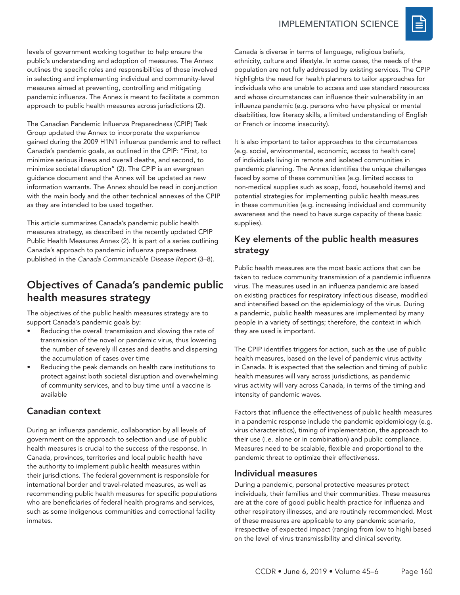

levels of government working together to help ensure the public's understanding and adoption of measures. The Annex outlines the specific roles and responsibilities of those involved in selecting and implementing individual and community-level measures aimed at preventing, controlling and mitigating pandemic influenza. The Annex is meant to facilitate a common approach to public health measures across jurisdictions (2).

The Canadian Pandemic Influenza Preparedness (CPIP) Task Group updated the Annex to incorporate the experience gained during the 2009 H1N1 influenza pandemic and to reflect Canada's pandemic goals, as outlined in the CPIP: "First, to minimize serious illness and overall deaths, and second, to minimize societal disruption" (2). The CPIP is an evergreen guidance document and the Annex will be updated as new information warrants. The Annex should be read in conjunction with the main body and the other technical annexes of the CPIP as they are intended to be used together.

This article summarizes Canada's pandemic public health measures strategy, as described in the recently updated CPIP Public Health Measures Annex (2). It is part of a series outlining Canada's approach to pandemic influenza preparedness published in the *Canada Communicable Disease Report* (3–8).

## Objectives of Canada's pandemic public health measures strategy

The objectives of the public health measures strategy are to support Canada's pandemic goals by:

- Reducing the overall transmission and slowing the rate of transmission of the novel or pandemic virus, thus lowering the number of severely ill cases and deaths and dispersing the accumulation of cases over time
- Reducing the peak demands on health care institutions to protect against both societal disruption and overwhelming of community services, and to buy time until a vaccine is available

## Canadian context

During an influenza pandemic, collaboration by all levels of government on the approach to selection and use of public health measures is crucial to the success of the response. In Canada, provinces, territories and local public health have the authority to implement public health measures within their jurisdictions. The federal government is responsible for international border and travel-related measures, as well as recommending public health measures for specific populations who are beneficiaries of federal health programs and services, such as some Indigenous communities and correctional facility inmates.

Canada is diverse in terms of language, religious beliefs, ethnicity, culture and lifestyle. In some cases, the needs of the population are not fully addressed by existing services. The CPIP highlights the need for health planners to tailor approaches for individuals who are unable to access and use standard resources and whose circumstances can influence their vulnerability in an influenza pandemic (e.g. persons who have physical or mental disabilities, low literacy skills, a limited understanding of English or French or income insecurity).

It is also important to tailor approaches to the circumstances (e.g. social, environmental, economic, access to health care) of individuals living in remote and isolated communities in pandemic planning. The Annex identifies the unique challenges faced by some of these communities (e.g. limited access to non-medical supplies such as soap, food, household items) and potential strategies for implementing public health measures in these communities (e.g. increasing individual and community awareness and the need to have surge capacity of these basic supplies).

## Key elements of the public health measures strategy

Public health measures are the most basic actions that can be taken to reduce community transmission of a pandemic influenza virus. The measures used in an influenza pandemic are based on existing practices for respiratory infectious disease, modified and intensified based on the epidemiology of the virus. During a pandemic, public health measures are implemented by many people in a variety of settings; therefore, the context in which they are used is important.

The CPIP identifies triggers for action, such as the use of public health measures, based on the level of pandemic virus activity in Canada. It is expected that the selection and timing of public health measures will vary across jurisdictions, as pandemic virus activity will vary across Canada, in terms of the timing and intensity of pandemic waves.

Factors that influence the effectiveness of public health measures in a pandemic response include the pandemic epidemiology (e.g. virus characteristics), timing of implementation, the approach to their use (i.e. alone or in combination) and public compliance. Measures need to be scalable, flexible and proportional to the pandemic threat to optimize their effectiveness.

### Individual measures

During a pandemic, personal protective measures protect individuals, their families and their communities. These measures are at the core of good public health practice for influenza and other respiratory illnesses, and are routinely recommended. Most of these measures are applicable to any pandemic scenario, irrespective of expected impact (ranging from low to high) based on the level of virus transmissibility and clinical severity.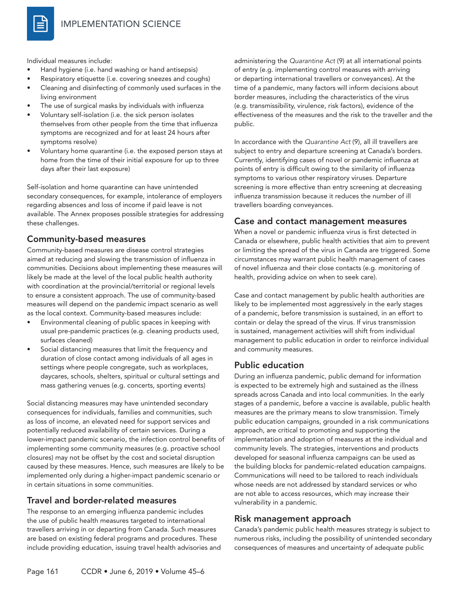

Individual measures include:

- Hand hygiene (i.e. hand washing or hand antisepsis)
- Respiratory etiquette (i.e. covering sneezes and coughs)
- Cleaning and disinfecting of commonly used surfaces in the living environment
- The use of surgical masks by individuals with influenza
- Voluntary self-isolation (i.e. the sick person isolates themselves from other people from the time that influenza symptoms are recognized and for at least 24 hours after symptoms resolve)
- Voluntary home quarantine (i.e. the exposed person stays at home from the time of their initial exposure for up to three days after their last exposure)

Self-isolation and home quarantine can have unintended secondary consequences, for example, intolerance of employers regarding absences and loss of income if paid leave is not available. The Annex proposes possible strategies for addressing these challenges.

#### Community-based measures

Community-based measures are disease control strategies aimed at reducing and slowing the transmission of influenza in communities. Decisions about implementing these measures will likely be made at the level of the local public health authority with coordination at the provincial/territorial or regional levels to ensure a consistent approach. The use of community-based measures will depend on the pandemic impact scenario as well as the local context. Community-based measures include:

- Environmental cleaning of public spaces in keeping with usual pre-pandemic practices (e.g. cleaning products used, surfaces cleaned)
- Social distancing measures that limit the frequency and duration of close contact among individuals of all ages in settings where people congregate, such as workplaces, daycares, schools, shelters, spiritual or cultural settings and mass gathering venues (e.g. concerts, sporting events)

Social distancing measures may have unintended secondary consequences for individuals, families and communities, such as loss of income, an elevated need for support services and potentially reduced availability of certain services. During a lower-impact pandemic scenario, the infection control benefits of implementing some community measures (e.g. proactive school closures) may not be offset by the cost and societal disruption caused by these measures. Hence, such measures are likely to be implemented only during a higher-impact pandemic scenario or in certain situations in some communities.

#### Travel and border-related measures

The response to an emerging influenza pandemic includes the use of public health measures targeted to international travellers arriving in or departing from Canada. Such measures are based on existing federal programs and procedures. These include providing education, issuing travel health advisories and administering the *Quarantine Act* (9) at all international points of entry (e.g. implementing control measures with arriving or departing international travellers or conveyances). At the time of a pandemic, many factors will inform decisions about border measures, including the characteristics of the virus (e.g. transmissibility, virulence, risk factors), evidence of the effectiveness of the measures and the risk to the traveller and the public.

In accordance with the *Quarantine Act* (9), all ill travellers are subject to entry and departure screening at Canada's borders. Currently, identifying cases of novel or pandemic influenza at points of entry is difficult owing to the similarity of influenza symptoms to various other respiratory viruses. Departure screening is more effective than entry screening at decreasing influenza transmission because it reduces the number of ill travellers boarding conveyances.

#### Case and contact management measures

When a novel or pandemic influenza virus is first detected in Canada or elsewhere, public health activities that aim to prevent or limiting the spread of the virus in Canada are triggered. Some circumstances may warrant public health management of cases of novel influenza and their close contacts (e.g. monitoring of health, providing advice on when to seek care).

Case and contact management by public health authorities are likely to be implemented most aggressively in the early stages of a pandemic, before transmission is sustained, in an effort to contain or delay the spread of the virus. If virus transmission is sustained, management activities will shift from individual management to public education in order to reinforce individual and community measures.

#### Public education

During an influenza pandemic, public demand for information is expected to be extremely high and sustained as the illness spreads across Canada and into local communities. In the early stages of a pandemic, before a vaccine is available, public health measures are the primary means to slow transmission. Timely public education campaigns, grounded in a risk communications approach, are critical to promoting and supporting the implementation and adoption of measures at the individual and community levels. The strategies, interventions and products developed for seasonal influenza campaigns can be used as the building blocks for pandemic-related education campaigns. Communications will need to be tailored to reach individuals whose needs are not addressed by standard services or who are not able to access resources, which may increase their vulnerability in a pandemic.

#### Risk management approach

Canada's pandemic public health measures strategy is subject to numerous risks, including the possibility of unintended secondary consequences of measures and uncertainty of adequate public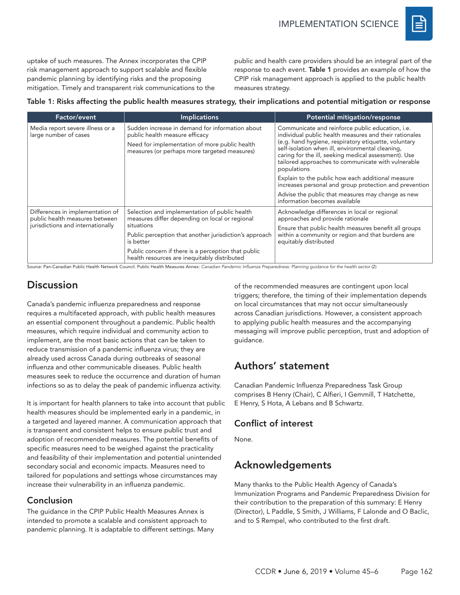

uptake of such measures. The Annex incorporates the CPIP risk management approach to support scalable and flexible pandemic planning by identifying risks and the proposing mitigation. Timely and transparent risk communications to the public and health care providers should be an integral part of the response to each event. Table 1 provides an example of how the CPIP risk management approach is applied to the public health measures strategy.

#### Table 1: Risks affecting the public health measures strategy, their implications and potential mitigation or response

| Factor/event                                                                                            | <b>Implications</b>                                                                                                                                                                | Potential mitigation/response                                                                                                                                                                                                                                                                                                                       |
|---------------------------------------------------------------------------------------------------------|------------------------------------------------------------------------------------------------------------------------------------------------------------------------------------|-----------------------------------------------------------------------------------------------------------------------------------------------------------------------------------------------------------------------------------------------------------------------------------------------------------------------------------------------------|
| Media report severe illness or a<br>large number of cases                                               | Sudden increase in demand for information about<br>public health measure efficacy<br>Need for implementation of more public health<br>measures (or perhaps more targeted measures) | Communicate and reinforce public education, i.e.<br>individual public health measures and their rationales<br>(e.g. hand hygiene, respiratory etiquette, voluntary<br>self-isolation when ill, environmental cleaning,<br>caring for the ill, seeking medical assessment). Use<br>tailored approaches to communicate with vulnerable<br>populations |
|                                                                                                         |                                                                                                                                                                                    | Explain to the public how each additional measure<br>increases personal and group protection and prevention<br>Advise the public that measures may change as new                                                                                                                                                                                    |
|                                                                                                         |                                                                                                                                                                                    | information becomes available                                                                                                                                                                                                                                                                                                                       |
| Differences in implementation of<br>public health measures between<br>jurisdictions and internationally | Selection and implementation of public health<br>measures differ depending on local or regional<br>situations                                                                      | Acknowledge differences in local or regional<br>approaches and provide rationale<br>Ensure that public health measures benefit all groups<br>within a community or region and that burdens are<br>equitably distributed                                                                                                                             |
|                                                                                                         | Public perception that another jurisdiction's approach<br>is better                                                                                                                |                                                                                                                                                                                                                                                                                                                                                     |
|                                                                                                         | Public concern if there is a perception that public<br>health resources are inequitably distributed                                                                                |                                                                                                                                                                                                                                                                                                                                                     |

Source: Pan-Canadian Public Health Network Council. Public Health Measures Annex: *Canadian Pandemic Influenza Preparedness: Planning guidance for the health sector* (2)

## **Discussion**

Canada's pandemic influenza preparedness and response requires a multifaceted approach, with public health measures an essential component throughout a pandemic. Public health measures, which require individual and community action to implement, are the most basic actions that can be taken to reduce transmission of a pandemic influenza virus; they are already used across Canada during outbreaks of seasonal influenza and other communicable diseases. Public health measures seek to reduce the occurrence and duration of human infections so as to delay the peak of pandemic influenza activity.

It is important for health planners to take into account that public health measures should be implemented early in a pandemic, in a targeted and layered manner. A communication approach that is transparent and consistent helps to ensure public trust and adoption of recommended measures. The potential benefits of specific measures need to be weighed against the practicality and feasibility of their implementation and potential unintended secondary social and economic impacts. Measures need to tailored for populations and settings whose circumstances may increase their vulnerability in an influenza pandemic.

#### Conclusion

The guidance in the CPIP Public Health Measures Annex is intended to promote a scalable and consistent approach to pandemic planning. It is adaptable to different settings. Many of the recommended measures are contingent upon local triggers; therefore, the timing of their implementation depends on local circumstances that may not occur simultaneously across Canadian jurisdictions. However, a consistent approach to applying public health measures and the accompanying messaging will improve public perception, trust and adoption of guidance.

## Authors' statement

Canadian Pandemic Influenza Preparedness Task Group comprises B Henry (Chair), C Alfieri, I Gemmill, T Hatchette, E Henry, S Hota, A Lebans and B Schwartz.

### Conflict of interest

None.

# Acknowledgements

Many thanks to the Public Health Agency of Canada's Immunization Programs and Pandemic Preparedness Division for their contribution to the preparation of this summary: E Henry (Director), L Paddle, S Smith, J Williams, F Lalonde and O Baclic, and to S Rempel, who contributed to the first draft.